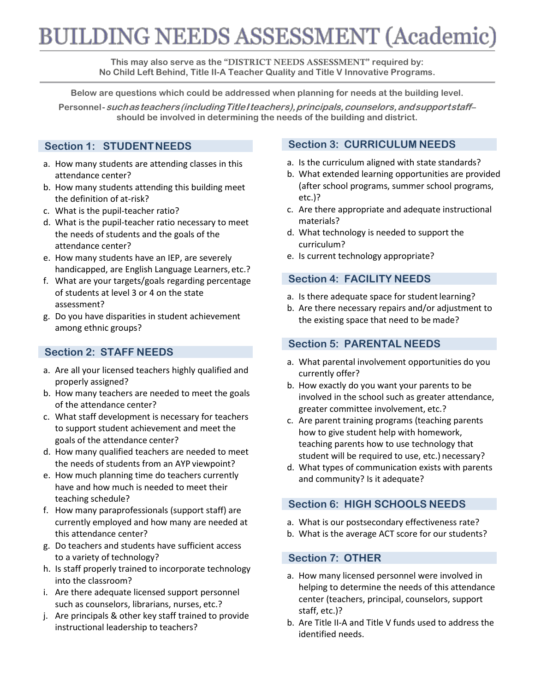# **BUILDING NEEDS ASSESSMENT (Academic)**

**This may also serve as the "**DISTRICT NEEDS ASSESSMENT**" required by: No Child Left Behind, Title II-A Teacher Quality and Title V Innovative Programs.**

**Below are questions which could be addressed when planning for needs at the building level.**

**Personnel-suchasteachers(includingTitleIteachers),principals,counselors,andsupportstaff– should be involved in determining the needs of the building and district.**

## **Section 1: STUDENTNEEDS**

- a. How many students are attending classes in this attendance center?
- b. How many students attending this building meet the definition of at-risk?
- c. What is the pupil-teacher ratio?
- d. What is the pupil-teacher ratio necessary to meet the needs of students and the goals of the attendance center?
- e. How many students have an IEP, are severely handicapped, are English Language Learners, etc.?
- f. What are your targets/goals regarding percentage of students at level 3 or 4 on the state assessment?
- g. Do you have disparities in student achievement among ethnic groups?

## **Section 2: STAFF NEEDS**

- a. Are all your licensed teachers highly qualified and properly assigned?
- b. How many teachers are needed to meet the goals of the attendance center?
- c. What staff development is necessary for teachers to support student achievement and meet the goals of the attendance center?
- d. How many qualified teachers are needed to meet the needs of students from an AYP viewpoint?
- e. How much planning time do teachers currently have and how much is needed to meet their teaching schedule?
- f. How many paraprofessionals (support staff) are currently employed and how many are needed at this attendance center?
- g. Do teachers and students have sufficient access to a variety of technology?
- h. Is staff properly trained to incorporate technology into the classroom?
- i. Are there adequate licensed support personnel such as counselors, librarians, nurses, etc.?
- j. Are principals & other key staff trained to provide instructional leadership to teachers?

#### **Section 3: CURRICULUM NEEDS**

- a. Is the curriculum aligned with state standards?
- b. What extended learning opportunities are provided (after school programs, summer school programs, etc.)?
- c. Are there appropriate and adequate instructional materials?
- d. What technology is needed to support the curriculum?
- e. Is current technology appropriate?

### **Section 4: FACILITY NEEDS**

- a. Is there adequate space for student learning?
- b. Are there necessary repairs and/or adjustment to the existing space that need to be made?

#### **Section 5: PARENTAL NEEDS**

- a. What parental involvement opportunities do you currently offer?
- b. How exactly do you want your parents to be involved in the school such as greater attendance, greater committee involvement, etc.?
- c. Are parent training programs (teaching parents how to give student help with homework, teaching parents how to use technology that student will be required to use, etc.) necessary?
- d. What types of communication exists with parents and community? Is it adequate?

### **Section 6: HIGH SCHOOLS NEEDS**

- a. What is our postsecondary effectiveness rate?
- b. What is the average ACT score for our students?

#### **Section 7: OTHER**

- a. How many licensed personnel were involved in helping to determine the needs of this attendance center (teachers, principal, counselors, support staff, etc.)?
- b. Are Title II-A and Title V funds used to address the identified needs.